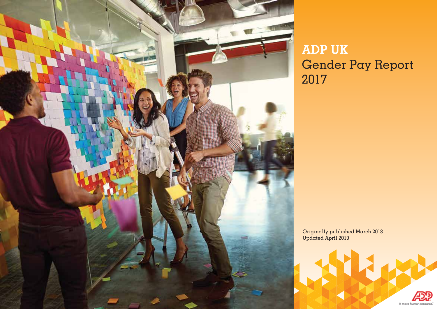

# **ADP UK** Gender Pay Report 2017

Originally published March 2018 Updated April 2019

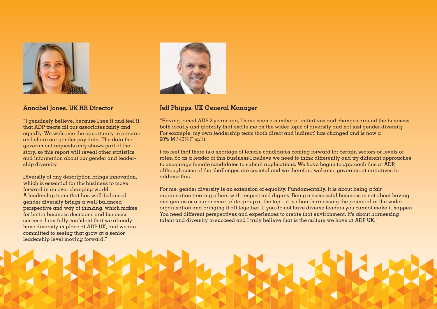

## **Annabel Jones, UK HR Director**

"I genuinely believe, because I see it and feel it, that ADP treats all our associates fairly and equally. We welcome the opportunity to prepare and share our gender pay data. The data the government requests only shows part of the story, so this report will reveal other statistics and information about our gender and leadership diversity.

Diversity of any description brings innovation, which is essential for the business to move forward in an ever changing world. A leadership team that has well-balanced gender diversity brings a well-balanced perspective and way of thinking, which makes for better business decisions and business success. I am fully confident that we already have diversity in place at ADP UK, and we are committed to seeing that grow at a senior leadership level moving forward."



## **Jeff Phipps, UK General Manager**

"Having joined ADP 2 years ago, I have seen a number of initiatives and changes around the business both locally and globally that excite me on the wider topic of diversity and not just gender diversity. For example, my own leadership team (both direct and indirect) has changed and is now  $\alpha$ 60% M / 40% F split.

I do feel that there is a shortage of female candidates coming forward for certain sectors or levels of roles. So as a leader of this business I believe we need to think differently and try different approaches to encourage female candidates to submit applications. We have begun to approach this at ADP, although some of the challenges are societal and we therefore welcome government initiatives to address this.

For me, gender diversity is an extension of equality. Fundamentally, it is about being a fair organisation treating others with respect and dignity. Being a successful business is not about having one genius or a super smart elite group at the top – it is about harnessing the potential in the wider organisation and bringing it all together. If you do not have diverse leaders you cannot make it happen. You need different perspectives and experiences to create that environment. It's about harnessing talent and diversity to succeed and I truly believe that is the culture we have at ADP UK."

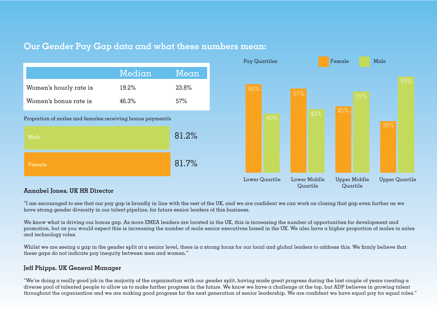# **Our Gender Pay Gap data and what these numbers mean:**



## **Annabel Jones, UK HR Director**

"I am encouraged to see that our pay gap is broadly in line with the rest of the UK, and we are confident we can work on closing that gap even further as we have strong gender diversity in our talent pipeline, for future senior leaders of this business.

We know what is driving our bonus gap. As more EMEA leaders are located in the UK, this is increasing the number of opportunities for development and promotion, but as you would expect this is increasing the number of male senior executives based in the UK. We also have a higher proportion of males in sales and technology roles.

Whilst we are seeing a gap in the gender split at a senior level, there is a strong focus for our local and global leaders to address this. We firmly believe that these gaps do not indicate pay inequity between men and women."

## **Jeff Phipps, UK General Manager**

"We're doing a really good job in the majority of the organisation with our gender split, having made great progress during the last couple of years creating a diverse pool of talented people to allow us to make further progress in the future. We know we have a challenge at the top, but ADP believes in growing talent throughout the organisation and we are making good progress for the next generation of senior leadership. We are confident we have equal pay for equal roles."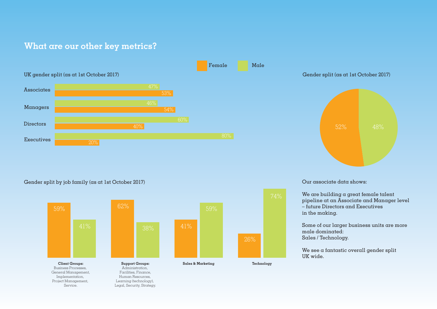# **What are our other key metrics?**



Male



#### Gender split by job family (as at 1st October 2017)

Service.



Legal, Security, Strategy.

#### Our associate data shows:

We are building a great female talent pipeline at an Associate and Manager level – future Directors and Executives in the making.

Some of our larger business units are more male dominated: Sales / Technology.

We see a fantastic overall gender split UK wide.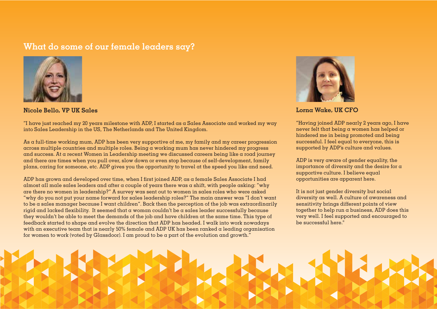# **What do some of our female leaders say?**



**Nicole Bello, VP UK Sales**

"I have just reached my 20 years milestone with ADP, I started as a Sales Associate and worked my way into Sales Leadership in the US, The Netherlands and The United Kingdom.

As a full-time working mum, ADP has been very supportive of me, my family and my career progression across multiple countries and multiple roles. Being a working mum has never hindered my progress and success. At a recent Women in Leadership meeting we discussed careers being like a road journey and there are times when you pull over, slow down or even stop because of self-development, family plans, caring for someone, etc. ADP gives you the opportunity to travel at the speed you like and need.

ADP has grown and developed over time, when I first joined ADP, as a female Sales Associate I had almost all male sales leaders and after a couple of years there was a shift, with people asking: "why are there no women in leadership?" A survey was sent out to women in sales roles who were asked "why do you not put your name forward for sales leadership roles?" The main answer was "I don't want to be a sales manager because I want children". Back then the perception of the job was extraordinarily rigid and lacked flexibility. It seemed that a woman couldn't be a sales leader successfully because they wouldn't be able to meet the demands of the job and have children at the same time. This type of feedback started to shape and evolve the direction that ADP has headed. I walk into work nowadays with an executive team that is nearly 50% female and ADP UK has been ranked a leading organisation for women to work (voted by Glassdoor). I am proud to be a part of the evolution and growth."



**Lorna Wake, UK CFO**

"Having joined ADP nearly 2 years ago, I have never felt that being a women has helped or hindered me in being promoted and being successful. I feel equal to everyone, this is supported by ADP's culture and values.

ADP is very aware of gender equality, the importance of diversity and the desire for a supportive culture. I believe equal opportunities are apparent here.

It is not just gender diversity but social diversity as well. A culture of awareness and sensitivity brings different points of view together to help run a business, ADP does this very well. I feel supported and encouraged to be successful here."

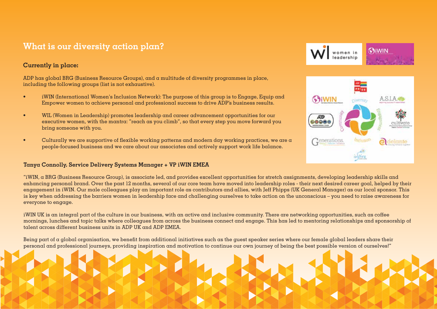# **What is our diversity action plan?**

## **Currently in place:**

ADP has global BRG (Business Resource Groups), and a multitude of diversity programmes in place, including the following groups (list is not exhaustive).

- iWIN (International Women's Inclusion Network): The purpose of this group is to Engage, Equip and Empower women to achieve personal and professional success to drive ADP's business results.
- WIL (Women in Leadership) promotes leadership and career advancement opportunities for our executive women, with the mantra: "reach as you climb", so that every step you move forward you bring someone with you.
- Culturally we are supportive of flexible working patterns and modern day working practices, we are a people-focused business and we care about our associates and actively support work life balance.

#### **Tanya Connolly, Service Delivery Systems Manager + VP iWIN EMEA**

"iWIN, a BRG (Business Resource Group), is associate led, and provides excellent opportunities for stretch assignments, developing leadership skills and enhancing personal brand. Over the past 12 months, several of our core team have moved into leadership roles - their next desired career goal, helped by their engagement in iWIN. Our male colleagues play an important role as contributors and allies, with Jeff Phipps (UK General Manager) as our local sponsor. This is key when addressing the barriers women in leadership face and challenging ourselves to take action on the unconscious – you need to raise awareness for everyone to engage.

iWIN UK is an integral part of the culture in our business, with an active and inclusive community. There are networking opportunities, such as coffee mornings, lunches and topic talks where colleagues from across the business connect and engage. This has led to mentoring relationships and sponsorship of talent across different business units in ADP UK and ADP EMEA.

Being part of a global organisation, we benefit from additional initiatives such as the quest speaker series where our female global leaders share their personal and professional journeys, providing inspiration and motivation to continue our own journey of being the best possible version of ourselves!"



women in leadership

Giwin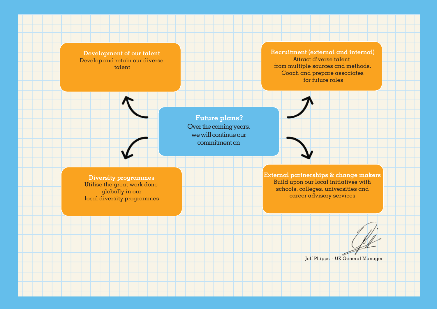**Development of our talent** Develop and retain our diverse talent

**Recruitment (external and internal)** Attract diverse talent from multiple sources and methods. Coach and prepare associates for future roles

**Future plans?** Over the coming years, we will continue our commitment on

**Diversity programmes** Utilise the great work done globally in our local diversity programmes **External partnerships & change makers** Build upon our local initiatives with schools, colleges, universities and career advisory services

Jeff Phipps - UK General Manager